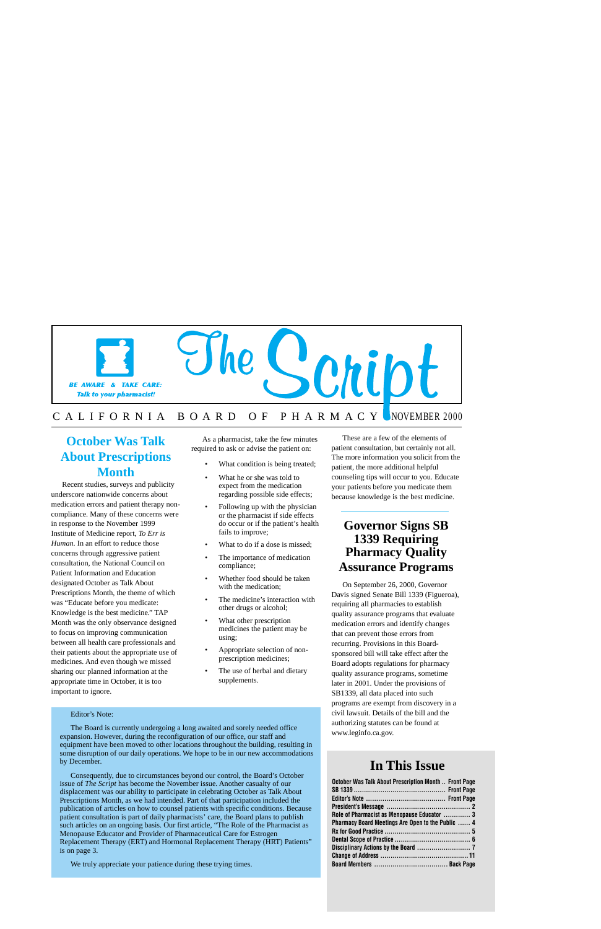

## C A L I F O R N I A B O A R D O F P H A R M A C Y NOVEMBER 2000

## **October Was Talk About Prescriptions Month**

Recent studies, surveys and publicity underscore nationwide concerns about medication errors and patient therapy noncompliance. Many of these concerns were in response to the November 1999 Institute of Medicine report, *To Err is Human.* In an effort to reduce those concerns through aggressive patient consultation, the National Council on Patient Information and Education designated October as Talk About Prescriptions Month, the theme of which was "Educate before you medicate: Knowledge is the best medicine." TAP Month was the only observance designed to focus on improving communication between all health care professionals and their patients about the appropriate use of medicines. And even though we missed sharing our planned information at the appropriate time in October, it is too important to ignore.

As a pharmacist, take the few minutes required to ask or advise the patient on:

- What condition is being treated;
- What he or she was told to expect from the medication regarding possible side effects;
- Following up with the physician or the pharmacist if side effects do occur or if the patient's health fails to improve;
- What to do if a dose is missed;
- The importance of medication compliance;
- Whether food should be taken with the medication:
- The medicine's interaction with other drugs or alcohol;
- What other prescription medicines the patient may be using;
- Appropriate selection of nonprescription medicines;
- The use of herbal and dietary supplements.

These are a few of the elements of patient consultation, but certainly not all. The more information you solicit from the patient, the more additional helpful counseling tips will occur to you. Educate your patients before you medicate them because knowledge is the best medicine.

## **Governor Signs SB 1339 Requiring Pharmacy Quality Assurance Programs**

On September 26, 2000, Governor Davis signed Senate Bill 1339 (Figueroa), requiring all pharmacies to establish quality assurance programs that evaluate medication errors and identify changes that can prevent those errors from recurring. Provisions in this Boardsponsored bill will take effect after the Board adopts regulations for pharmacy quality assurance programs, sometime later in 2001. Under the provisions of SB1339, all data placed into such programs are exempt from discovery in a civil lawsuit. Details of the bill and the authorizing statutes can be found at [www.leginfo.ca.gov.](www.leginfo.ca.gov)

### Editor's Note:

The Board is currently undergoing a long awaited and sorely needed office expansion. However, during the reconfiguration of our office, our staff and equipment have been moved to other locations throughout the building, resulting in some disruption of our daily operations. We hope to be in our new accommodations by December.

Consequently, due to circumstances beyond our control, the Board's October issue of *The Script* has become the November issue. Another casualty of our displacement was our ability to participate in celebrating October as Talk About Prescriptions Month, as we had intended. Part of that participation included the publication of articles on how to counsel patients with specific conditions. Because patient consultation is part of daily pharmacists' care, the Board plans to publish such articles on an ongoing basis. Our first article, "The Role of the Pharmacist as Menopause Educator and Provider of Pharmaceutical Care for Estrogen Replacement Therapy (ERT) and Hormonal Replacement Therapy (HRT) Patients" is on page 3.

We truly appreciate your patience during these trying times.

## **In This Issue**

| October Was Talk About Prescription Month  Front Page |  |
|-------------------------------------------------------|--|
|                                                       |  |
|                                                       |  |
|                                                       |  |
| Role of Pharmacist as Menopause Educator  3           |  |
| Pharmacy Board Meetings Are Open to the Public  4     |  |
|                                                       |  |
|                                                       |  |
|                                                       |  |
|                                                       |  |
|                                                       |  |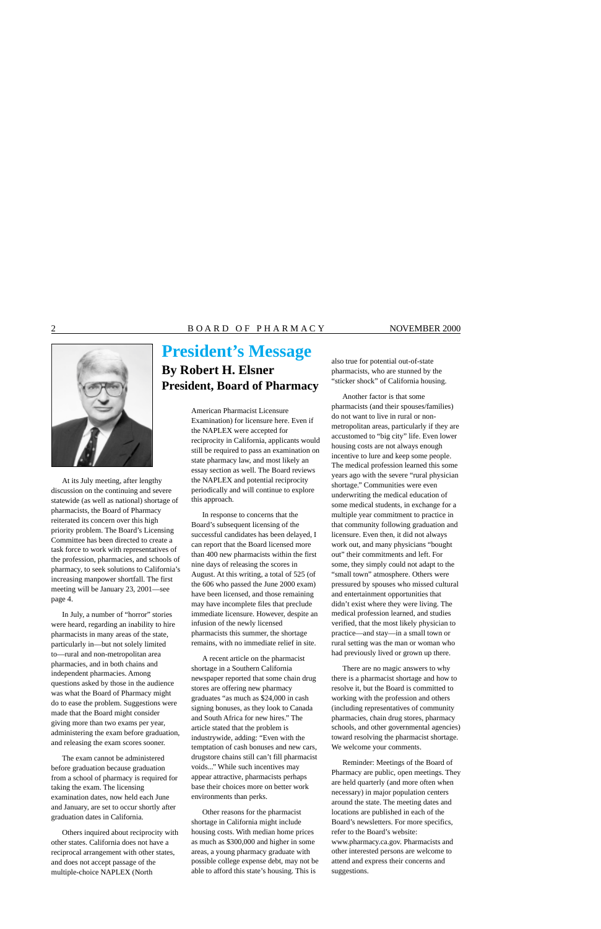

At its July meeting, after lengthy discussion on the continuing and severe statewide (as well as national) shortage of pharmacists, the Board of Pharmacy reiterated its concern over this high priority problem. The Board's Licensing Committee has been directed to create a task force to work with representatives of the profession, pharmacies, and schools of pharmacy, to seek solutions to California's increasing manpower shortfall. The first meeting will be January 23, 2001—see page 4.

In July, a number of "horror" stories were heard, regarding an inability to hire pharmacists in many areas of the state, particularly in—but not solely limited to—rural and non-metropolitan area pharmacies, and in both chains and independent pharmacies. Among questions asked by those in the audience was what the Board of Pharmacy might do to ease the problem. Suggestions were made that the Board might consider giving more than two exams per year, administering the exam before graduation, and releasing the exam scores sooner.

The exam cannot be administered before graduation because graduation from a school of pharmacy is required for taking the exam. The licensing examination dates, now held each June and January, are set to occur shortly after graduation dates in California.

Others inquired about reciprocity with other states. California does not have a reciprocal arrangement with other states, and does not accept passage of the multiple-choice NAPLEX (North

# **President's Message By Robert H. Elsner President, Board of Pharmacy**

American Pharmacist Licensure Examination) for licensure here. Even if the NAPLEX were accepted for reciprocity in California, applicants would still be required to pass an examination on state pharmacy law, and most likely an essay section as well. The Board reviews the NAPLEX and potential reciprocity periodically and will continue to explore this approach.

In response to concerns that the Board's subsequent licensing of the successful candidates has been delayed, I can report that the Board licensed more than 400 new pharmacists within the first nine days of releasing the scores in August. At this writing, a total of 525 (of the 606 who passed the June 2000 exam) have been licensed, and those remaining may have incomplete files that preclude immediate licensure. However, despite an infusion of the newly licensed pharmacists this summer, the shortage remains, with no immediate relief in site.

A recent article on the pharmacist shortage in a Southern California newspaper reported that some chain drug stores are offering new pharmacy graduates "as much as \$24,000 in cash signing bonuses, as they look to Canada and South Africa for new hires." The article stated that the problem is industrywide, adding: "Even with the temptation of cash bonuses and new cars, drugstore chains still can't fill pharmacist voids..." While such incentives may appear attractive, pharmacists perhaps base their choices more on better work environments than perks.

Other reasons for the pharmacist shortage in California might include housing costs. With median home prices as much as \$300,000 and higher in some areas, a young pharmacy graduate with possible college expense debt, may not be able to afford this state's housing. This is

also true for potential out-of-state pharmacists, who are stunned by the "sticker shock" of California housing.

Another factor is that some pharmacists (and their spouses/families) do not want to live in rural or nonmetropolitan areas, particularly if they are accustomed to "big city" life. Even lower housing costs are not always enough incentive to lure and keep some people. The medical profession learned this some years ago with the severe "rural physician shortage." Communities were even underwriting the medical education of some medical students, in exchange for a multiple year commitment to practice in that community following graduation and licensure. Even then, it did not always work out, and many physicians "bought out" their commitments and left. For some, they simply could not adapt to the "small town" atmosphere. Others were pressured by spouses who missed cultural and entertainment opportunities that didn't exist where they were living. The medical profession learned, and studies verified, that the most likely physician to practice—and stay—in a small town or rural setting was the man or woman who had previously lived or grown up there.

There are no magic answers to why there is a pharmacist shortage and how to resolve it, but the Board is committed to working with the profession and others (including representatives of community pharmacies, chain drug stores, pharmacy schools, and other governmental agencies) toward resolving the pharmacist shortage. We welcome your comments.

Reminder: Meetings of the Board of Pharmacy are public, open meetings. They are held quarterly (and more often when necessary) in major population centers around the state. The meeting dates and locations are published in each of the Board's newsletters. For more specifics, refer to the Board's website: [www.pharmacy.ca.gov.](www.pharmacy.ca.gov) Pharmacists and other interested persons are welcome to attend and express their concerns and suggestions.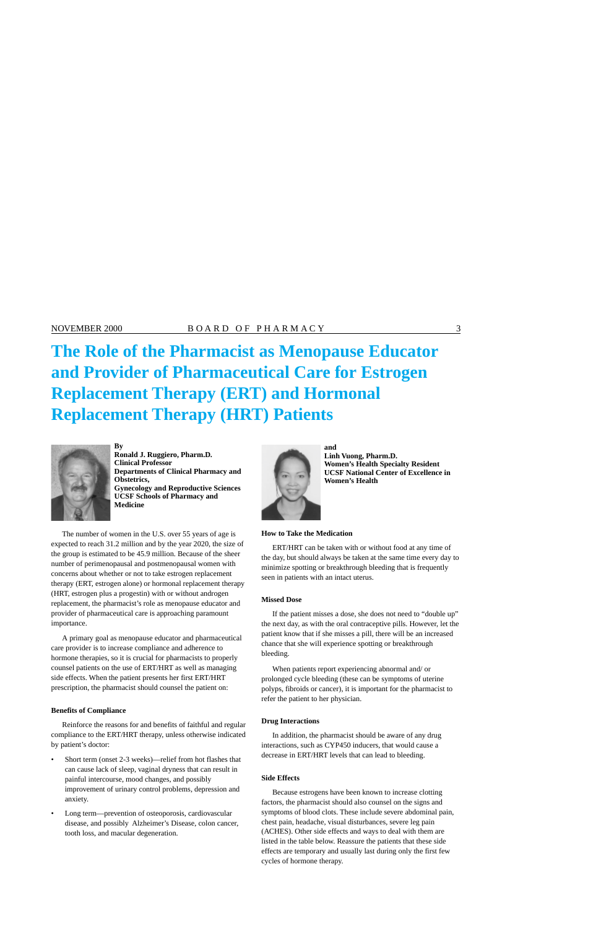# **The Role of the Pharmacist as Menopause Educator and Provider of Pharmaceutical Care for Estrogen Replacement Therapy (ERT) and Hormonal Replacement Therapy (HRT) Patients**



**By** and **and Ronald J. Ruggiero, Pharm.D.**<br> **Clinical Professor**<br> **Ronald J. Ruggiero, Pharm.D.**<br> **Ronald J. Ruggiero, Pharm.D.**<br> **Ronald J. Ruggiero, Pharm.D. Clinical Professor Women's Health Specialty Resident Departments of Clinical Pharmacy and <br>
Obstetrics, Women's Health<br>
Women's Health Gynecology and Reproductive Sciences UCSF Schools of Pharmacy and Medicine** 

The number of women in the U.S. over 55 years of age is expected to reach 31.2 million and by the year 2020, the size of the group is estimated to be 45.9 million. Because of the sheer number of perimenopausal and postmenopausal women with concerns about whether or not to take estrogen replacement therapy (ERT, estrogen alone) or hormonal replacement therapy (HRT, estrogen plus a progestin) with or without androgen replacement, the pharmacist's role as menopause educator and provider of pharmaceutical care is approaching paramount importance.

A primary goal as menopause educator and pharmaceutical care provider is to increase compliance and adherence to hormone therapies, so it is crucial for pharmacists to properly counsel patients on the use of ERT/HRT as well as managing side effects. When the patient presents her first ERT/HRT prescription, the pharmacist should counsel the patient on:

### **Benefits of Compliance**

Reinforce the reasons for and benefits of faithful and regular compliance to the ERT/HRT therapy, unless otherwise indicated by patient's doctor:

- Short term (onset 2-3 weeks)—relief from hot flashes that can cause lack of sleep, vaginal dryness that can result in painful intercourse, mood changes, and possibly improvement of urinary control problems, depression and anxiety.
- Long term—prevention of osteoporosis, cardiovascular disease, and possibly Alzheimer's Disease, colon cancer, tooth loss, and macular degeneration.



**Women's Health** 

### **How to Take the Medication**

ERT/HRT can be taken with or without food at any time of the day, but should always be taken at the same time every day to minimize spotting or breakthrough bleeding that is frequently seen in patients with an intact uterus.

### **Missed Dose**

If the patient misses a dose, she does not need to "double up" the next day, as with the oral contraceptive pills. However, let the patient know that if she misses a pill, there will be an increased chance that she will experience spotting or breakthrough bleeding.

When patients report experiencing abnormal and/ or prolonged cycle bleeding (these can be symptoms of uterine polyps, fibroids or cancer), it is important for the pharmacist to refer the patient to her physician.

### **Drug Interactions**

In addition, the pharmacist should be aware of any drug interactions, such as CYP450 inducers, that would cause a decrease in ERT/HRT levels that can lead to bleeding.

### **Side Effects**

Because estrogens have been known to increase clotting factors, the pharmacist should also counsel on the signs and symptoms of blood clots. These include severe abdominal pain, chest pain, headache, visual disturbances, severe leg pain (ACHES). Other side effects and ways to deal with them are listed in the table below. Reassure the patients that these side effects are temporary and usually last during only the first few cycles of hormone therapy.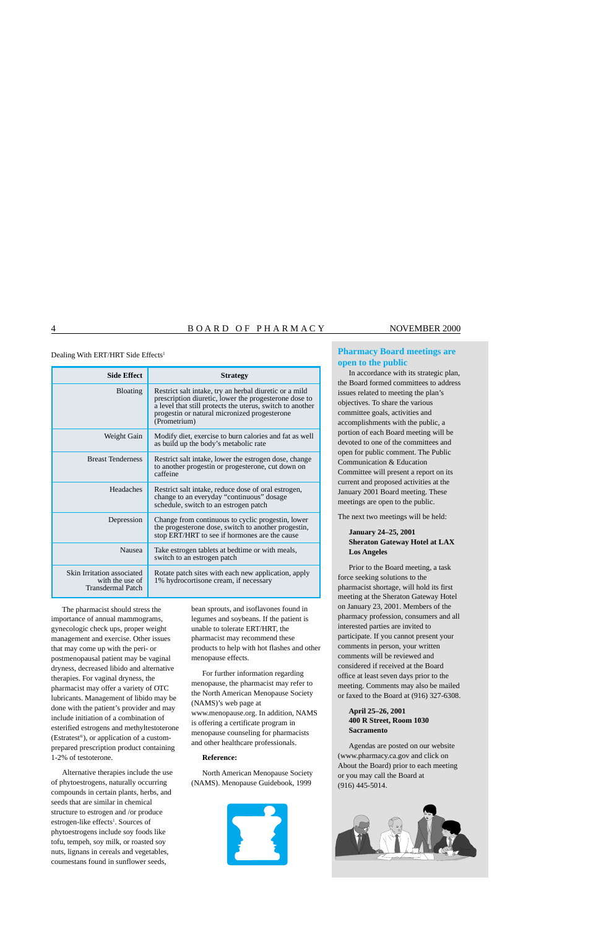Dealing With ERT/HRT Side Effects<sup>1</sup>

| <b>Side Effect</b>                                                        | <b>Strategy</b>                                                                                                                                                                                                                              |
|---------------------------------------------------------------------------|----------------------------------------------------------------------------------------------------------------------------------------------------------------------------------------------------------------------------------------------|
| <b>Bloating</b>                                                           | Restrict salt intake, try an herbal diuretic or a mild<br>prescription diuretic, lower the progesterone dose to<br>a level that still protects the uterus, switch to another<br>progestin or natural micronized progesterone<br>(Prometrium) |
| Weight Gain                                                               | Modify diet, exercise to burn calories and fat as well<br>as build up the body's metabolic rate                                                                                                                                              |
| <b>Breast Tenderness</b>                                                  | Restrict salt intake, lower the estrogen dose, change<br>to another progestin or progesterone, cut down on<br>caffeine                                                                                                                       |
| Headaches                                                                 | Restrict salt intake, reduce dose of oral estrogen,<br>change to an everyday "continuous" dosage<br>schedule, switch to an estrogen patch                                                                                                    |
| Depression                                                                | Change from continuous to cyclic progestin, lower<br>the progesterone dose, switch to another progestin,<br>stop ERT/HRT to see if hormones are the cause                                                                                    |
| <b>Nausea</b>                                                             | Take estrogen tablets at bedtime or with meals,<br>switch to an estrogen patch                                                                                                                                                               |
| Skin Irritation associated<br>with the use of<br><b>Transdermal Patch</b> | Rotate patch sites with each new application, apply<br>1% hydrocortisone cream, if necessary                                                                                                                                                 |

The pharmacist should stress the importance of annual mammograms, gynecologic check ups, proper weight management and exercise. Other issues that may come up with the peri- or postmenopausal patient may be vaginal dryness, decreased libido and alternative therapies. For vaginal dryness, the pharmacist may offer a variety of OTC lubricants. Management of libido may be done with the patient's provider and may include initiation of a combination of esterified estrogens and methyltestoterone (Estratest®), or application of a customprepared prescription product containing 1-2% of testoterone.

Alternative therapies include the use of phytoestrogens, naturally occurring compounds in certain plants, herbs, and seeds that are similar in chemical structure to estrogen and /or produce estrogen-like effects<sup>1</sup>. Sources of phytoestrogens include soy foods like tofu, tempeh, soy milk, or roasted soy nuts, lignans in cereals and vegetables, coumestans found in sunflower seeds,

bean sprouts, and isoflavones found in legumes and soybeans. If the patient is unable to tolerate ERT/HRT, the pharmacist may recommend these products to help with hot flashes and other menopause effects.

For further information regarding menopause, the pharmacist may refer to the North American Menopause Society (NAMS)'s web page at [www.menopause.org.](www.menopause.org) In addition, NAMS is offering a certificate program in menopause counseling for pharmacists and other healthcare professionals.

### **Reference:**

North American Menopause Society (NAMS). Menopause Guidebook, 1999



### **Pharmacy Board meetings are open to the public**

In accordance with its strategic plan, the Board formed committees to address issues related to meeting the plan's objectives. To share the various committee goals, activities and accomplishments with the public, a portion of each Board meeting will be devoted to one of the committees and open for public comment. The Public Communication & Education Committee will present a report on its current and proposed activities at the January 2001 Board meeting. These meetings are open to the public.

The next two meetings will be held:

### **January 24–25, 2001 Sheraton Gateway Hotel at LAX Los Angeles**

Prior to the Board meeting, a task force seeking solutions to the pharmacist shortage, will hold its first meeting at the Sheraton Gateway Hotel on January 23, 2001. Members of the pharmacy profession, consumers and all interested parties are invited to participate. If you cannot present your comments in person, your written comments will be reviewed and considered if received at the Board office at least seven days prior to the meeting. Comments may also be mailed or faxed to the Board at (916) 327-6308.

### **April 25–26, 2001 400 R Street, Room 1030 Sacramento**

Agendas are posted on our website (<www.pharmacy.ca.gov>and click on About the Board) prior to each meeting or you may call the Board at (916) 445-5014.

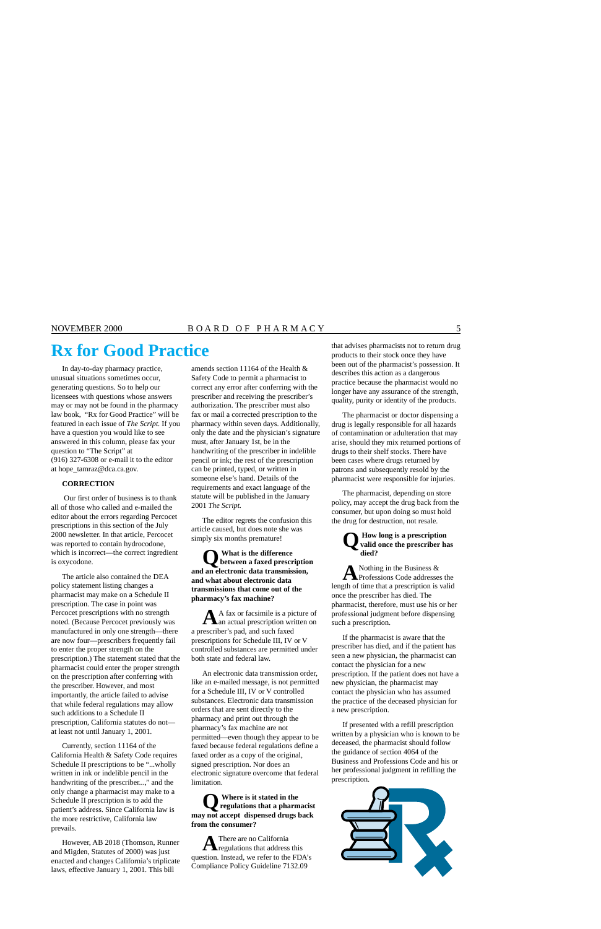# **Rx for Good Practice** that advises pharmacists not to return drug products to their stock once they have

In day-to-day pharmacy practice, unusual situations sometimes occur, generating questions. So to help our licensees with questions whose answers may or may not be found in the pharmacy law book, "Rx for Good Practice" will be featured in each issue of *The Script.* If you have a question you would like to see answered in this column, please fax your question to "The Script" at (916) 327-6308 or e-mail it to the editor at [hope\\_tamraz@dca.ca.gov.](mailto:hope_tamraz@dca.ca.gov)

### **CORRECTION**

 Our first order of business is to thank all of those who called and e-mailed the editor about the errors regarding Percocet prescriptions in this section of the July 2000 newsletter. In that article, Percocet was reported to contain hydrocodone, which is incorrect—the correct ingredient is oxycodone.

The article also contained the DEA policy statement listing changes a pharmacist may make on a Schedule II prescription. The case in point was Percocet prescriptions with no strength noted. (Because Percocet previously was manufactured in only one strength—there are now four—prescribers frequently fail to enter the proper strength on the prescription.) The statement stated that the pharmacist could enter the proper strength on the prescription after conferring with the prescriber. However, and most importantly, the article failed to advise that while federal regulations may allow such additions to a Schedule II prescription, California statutes do not at least not until January 1, 2001.

Currently, section 11164 of the California Health & Safety Code requires Schedule II prescriptions to be "...wholly written in ink or indelible pencil in the handwriting of the prescriber...," and the only change a pharmacist may make to a Schedule II prescription is to add the patient's address. Since California law is the more restrictive, California law prevails.

However, AB 2018 (Thomson, Runner and Migden, Statutes of 2000) was just enacted and changes California's triplicate laws, effective January 1, 2001. This bill

amends section 11164 of the Health & Safety Code to permit a pharmacist to correct any error after conferring with the prescriber and receiving the prescriber's authorization. The prescriber must also fax or mail a corrected prescription to the pharmacy within seven days. Additionally, only the date and the physician's signature must, after January 1st, be in the handwriting of the prescriber in indelible pencil or ink; the rest of the prescription can be printed, typed, or written in someone else's hand. Details of the requirements and exact language of the statute will be published in the January 2001 *The Script.* 

The editor regrets the confusion this article caused, but does note she was simply six months premature!

**Q What is the difference between a faxed prescription and an electronic data transmission, and what about electronic data transmissions that come out of the pharmacy's fax machine?** 

**A**A fax or facsimile is a picture of an actual prescription written on a prescriber's pad, and such faxed prescriptions for Schedule III, IV or V controlled substances are permitted under both state and federal law.

An electronic data transmission order, like an e-mailed message, is not permitted for a Schedule III, IV or V controlled substances. Electronic data transmission orders that are sent directly to the pharmacy and print out through the pharmacy's fax machine are not permitted—even though they appear to be faxed because federal regulations define a faxed order as a copy of the original, signed prescription. Nor does an electronic signature overcome that federal limitation.

## **Q Where is it stated in the regulations that a pharmacist may not accept dispensed drugs back from the consumer?**

**A**There are no California regulations that address this question. Instead, we refer to the FDA's Compliance Policy Guideline 7132.09

been out of the pharmacist's possession. It describes this action as a dangerous practice because the pharmacist would no longer have any assurance of the strength, quality, purity or identity of the products.

The pharmacist or doctor dispensing a drug is legally responsible for all hazards of contamination or adulteration that may arise, should they mix returned portions of drugs to their shelf stocks. There have been cases where drugs returned by patrons and subsequently resold by the pharmacist were responsible for injuries.

The pharmacist, depending on store policy, may accept the drug back from the consumer, but upon doing so must hold the drug for destruction, not resale.

## **Q How long is a prescription valid once the prescriber has died?**

A Nothing in the Business & Professions Code addresses the length of time that a prescription is valid once the prescriber has died. The pharmacist, therefore, must use his or her professional judgment before dispensing such a prescription.

If the pharmacist is aware that the prescriber has died, and if the patient has seen a new physician, the pharmacist can contact the physician for a new prescription. If the patient does not have a new physician, the pharmacist may contact the physician who has assumed the practice of the deceased physician for a new prescription.

If presented with a refill prescription written by a physician who is known to be deceased, the pharmacist should follow the guidance of section 4064 of the Business and Professions Code and his or her professional judgment in refilling the prescription.

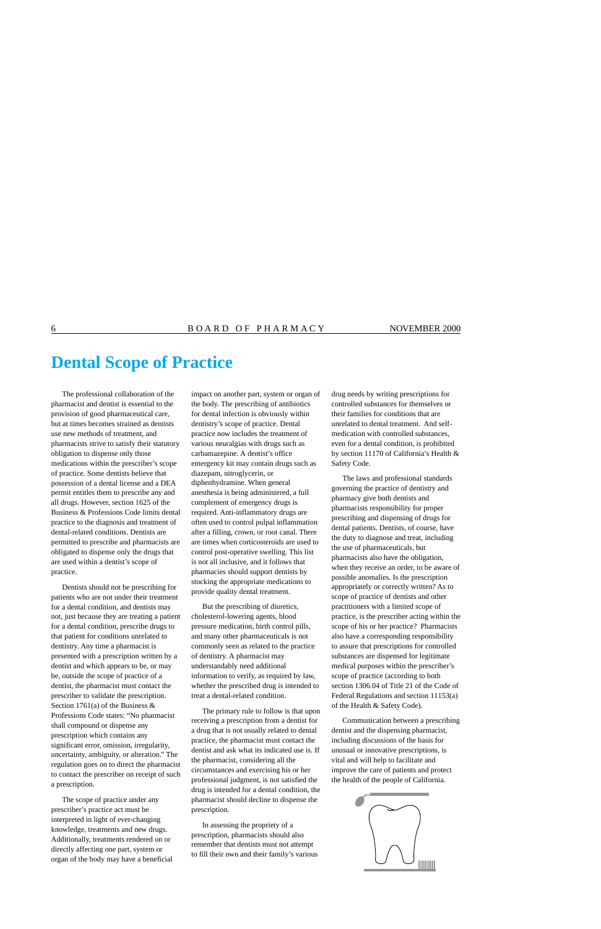# **Dental Scope of Practice**

The professional collaboration of the pharmacist and dentist is essential to the provision of good pharmaceutical care, but at times becomes strained as dentists use new methods of treatment, and pharmacists strive to satisfy their statutory obligation to dispense only those medications within the prescriber's scope of practice. Some dentists believe that possession of a dental license and a DEA permit entitles them to prescribe any and all drugs. However, section 1625 of the Business & Professions Code limits dental practice to the diagnosis and treatment of dental-related conditions. Dentists are permitted to prescribe and pharmacists are obligated to dispense only the drugs that are used within a dentist's scope of practice.

Dentists should not be prescribing for patients who are not under their treatment for a dental condition, and dentists may not, just because they are treating a patient for a dental condition, prescribe drugs to that patient for conditions unrelated to dentistry. Any time a pharmacist is presented with a prescription written by a dentist and which appears to be, or may be, outside the scope of practice of a dentist, the pharmacist must contact the prescriber to validate the prescription. Section 1761(a) of the Business & Professions Code states: "No pharmacist shall compound or dispense any prescription which contains any significant error, omission, irregularity, uncertainty, ambiguity, or alteration." The regulation goes on to direct the pharmacist to contact the prescriber on receipt of such a prescription.

The scope of practice under any prescriber's practice act must be interpreted in light of ever-changing knowledge, treatments and new drugs. Additionally, treatments rendered on or directly affecting one part, system or organ of the body may have a beneficial impact on another part, system or organ of the body. The prescribing of antibiotics for dental infection is obviously within dentistry's scope of practice. Dental practice now includes the treatment of various neuralgias with drugs such as carbamazepine. A dentist's office emergency kit may contain drugs such as diazepam, nitroglycerin, or diphenhydramine. When general anesthesia is being administered, a full complement of emergency drugs is required. Anti-inflammatory drugs are often used to control pulpal inflammation after a filling, crown, or root canal. There are times when corticosteroids are used to control post-operative swelling. This list is not all inclusive, and it follows that pharmacies should support dentists by stocking the appropriate medications to provide quality dental treatment.

But the prescribing of diuretics, cholesterol-lowering agents, blood pressure medication, birth control pills, and many other pharmaceuticals is not commonly seen as related to the practice of dentistry. A pharmacist may understandably need additional information to verify, as required by law, whether the prescribed drug is intended to treat a dental-related condition.

The primary rule to follow is that upon receiving a prescription from a dentist for a drug that is not usually related to dental practice, the pharmacist must contact the dentist and ask what its indicated use is. If the pharmacist, considering all the circumstances and exercising his or her professional judgment, is not satisfied the drug is intended for a dental condition, the pharmacist should decline to dispense the prescription.

In assessing the propriety of a prescription, pharmacists should also remember that dentists must not attempt to fill their own and their family's various drug needs by writing prescriptions for controlled substances for themselves or their families for conditions that are unrelated to dental treatment. And selfmedication with controlled substances, even for a dental condition, is prohibited by section 11170 of California's Health & Safety Code.

The laws and professional standards governing the practice of dentistry and pharmacy give both dentists and pharmacists responsibility for proper prescribing and dispensing of drugs for dental patients. Dentists, of course, have the duty to diagnose and treat, including the use of pharmaceuticals, but pharmacists also have the obligation, when they receive an order, to be aware of possible anomalies. Is the prescription appropriately or correctly written? As to scope of practice of dentists and other practitioners with a limited scope of practice, is the prescriber acting within the scope of his or her practice? Pharmacists also have a corresponding responsibility to assure that prescriptions for controlled substances are dispensed for legitimate medical purposes within the prescriber's scope of practice (according to both section 1306.04 of Title 21 of the Code of Federal Regulations and section 11153(a) of the Health & Safety Code).

Communication between a prescribing dentist and the dispensing pharmacist, including discussions of the basis for unusual or innovative prescriptions, is vital and will help to facilitate and improve the care of patients and protect the health of the people of California.

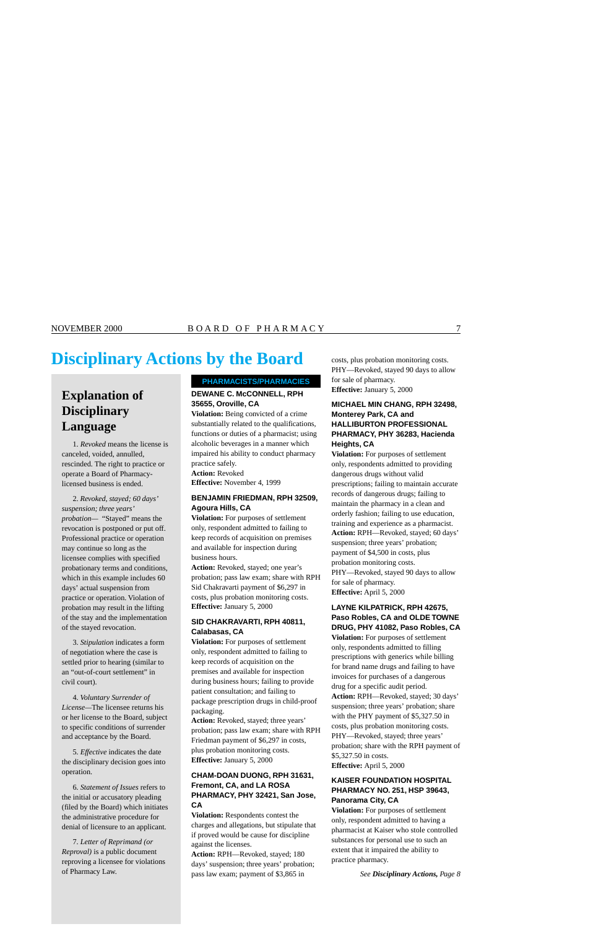# **Disciplinary Actions by the Board** costs, plus probation monitoring costs.

## **Explanation of Disciplinary Language**

1. *Revoked* means the license is canceled, voided, annulled, rescinded. The right to practice or operate a Board of Pharmacylicensed business is ended.

2. *Revoked, stayed; 60 days' suspension; three years' probation—* "Stayed" means the revocation is postponed or put off. Professional practice or operation may continue so long as the licensee complies with specified probationary terms and conditions, which in this example includes 60 days' actual suspension from practice or operation. Violation of probation may result in the lifting of the stay and the implementation of the stayed revocation.

3. *Stipulation* indicates a form of negotiation where the case is settled prior to hearing (similar to an "out-of-court settlement" in civil court).

4. *Voluntary Surrender of License—*The licensee returns his or her license to the Board, subject to specific conditions of surrender and acceptance by the Board.

5. *Effective* indicates the date the disciplinary decision goes into operation.

6. *Statement of Issues* refers to the initial or accusatory pleading (filed by the Board) which initiates the administrative procedure for denial of licensure to an applicant.

7. *Letter of Reprimand (or Reproval)* is a public document reproving a licensee for violations of Pharmacy Law.

### **PHARMACISTS/PHARMACIES**

### **DEWANE C. McCONNELL, RPH 35655, Oroville, CA**

**Violation:** Being convicted of a crime substantially related to the qualifications, functions or duties of a pharmacist; using alcoholic beverages in a manner which impaired his ability to conduct pharmacy practice safely.

**Action:** Revoked

**Effective:** November 4, 1999

### **BENJAMIN FRIEDMAN, RPH 32509, Agoura Hills, CA**

**Violation:** For purposes of settlement only, respondent admitted to failing to keep records of acquisition on premises and available for inspection during business hours.

**Action:** Revoked, stayed; one year's probation; pass law exam; share with RPH Sid Chakravarti payment of \$6,297 in costs, plus probation monitoring costs. **Effective:** January 5, 2000

### **SID CHAKRAVARTI, RPH 40811, Calabasas, CA**

**Violation:** For purposes of settlement only, respondent admitted to failing to keep records of acquisition on the premises and available for inspection during business hours; failing to provide patient consultation; and failing to package prescription drugs in child-proof packaging.

**Action:** Revoked, stayed; three years' probation; pass law exam; share with RPH Friedman payment of \$6,297 in costs, plus probation monitoring costs. **Effective:** January 5, 2000

### **CHAM-DOAN DUONG, RPH 31631, Fremont, CA, and LA ROSA PHARMACY, PHY 32421, San Jose, CA**

**Violation:** Respondents contest the charges and allegations, but stipulate that if proved would be cause for discipline against the licenses.

**Action:** RPH—Revoked, stayed; 180 days' suspension; three years' probation; pass law exam; payment of \$3,865 in

PHY—Revoked, stayed 90 days to allow for sale of pharmacy. **Effective:** January 5, 2000

### **MICHAEL MIN CHANG, RPH 32498, Monterey Park, CA and HALLIBURTON PROFESSIONAL PHARMACY, PHY 36283, Hacienda Heights, CA**

**Violation:** For purposes of settlement only, respondents admitted to providing dangerous drugs without valid prescriptions; failing to maintain accurate records of dangerous drugs; failing to maintain the pharmacy in a clean and orderly fashion; failing to use education, training and experience as a pharmacist. **Action:** RPH—Revoked, stayed; 60 days' suspension; three years' probation; payment of \$4,500 in costs, plus probation monitoring costs. PHY—Revoked, stayed 90 days to allow for sale of pharmacy. **Effective:** April 5, 2000

### **LAYNE KILPATRICK, RPH 42675, Paso Robles, CA and OLDE TOWNE DRUG, PHY 41082, Paso Robles, CA**

**Violation:** For purposes of settlement only, respondents admitted to filling prescriptions with generics while billing for brand name drugs and failing to have invoices for purchases of a dangerous drug for a specific audit period. **Action:** RPH—Revoked, stayed; 30 days' suspension; three years' probation; share with the PHY payment of [\\$5,327.50](https://5,327.50) in costs, plus probation monitoring costs. PHY—Revoked, stayed; three years' probation; share with the RPH payment of [\\$5,327.50](https://5,327.50) in costs.

**Effective:** April 5, 2000

### **KAISER FOUNDATION HOSPITAL PHARMACY NO. 251, HSP 39643, Panorama City, CA**

**Violation:** For purposes of settlement only, respondent admitted to having a pharmacist at Kaiser who stole controlled substances for personal use to such an extent that it impaired the ability to practice pharmacy.

*See Disciplinary Actions, Page 8*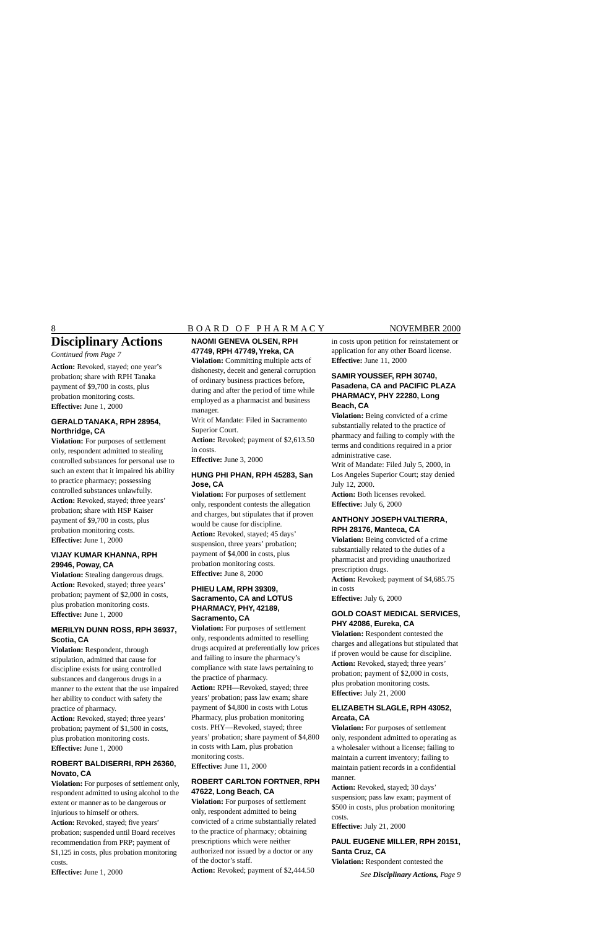### 8 BOARD OF PHARMACY NOVEMBER 2000

# **Disciplinary Actions**

*Continued from Page 7* 

**Action:** Revoked, stayed; one year's probation; share with RPH Tanaka payment of \$9,700 in costs, plus probation monitoring costs. **Effective:** June 1, 2000

### **GERALD TANAKA, RPH 28954, Northridge, CA**

**Violation:** For purposes of settlement only, respondent admitted to stealing controlled substances for personal use to such an extent that it impaired his ability to practice pharmacy; possessing controlled substances unlawfully. **Action:** Revoked, stayed; three years' probation; share with HSP Kaiser payment of \$9,700 in costs, plus probation monitoring costs. **Effective:** June 1, 2000

### **VIJAY KUMAR KHANNA, RPH 29946, Poway, CA**

**Violation:** Stealing dangerous drugs. **Action:** Revoked, stayed; three years' probation; payment of \$2,000 in costs, plus probation monitoring costs. **Effective:** June 1, 2000

### **MERILYN DUNN ROSS, RPH 36937, Scotia, CA**

**Violation:** Respondent, through stipulation, admitted that cause for discipline exists for using controlled substances and dangerous drugs in a manner to the extent that the use impaired her ability to conduct with safety the practice of pharmacy.

**Action:** Revoked, stayed; three years' probation; payment of \$1,500 in costs, plus probation monitoring costs. **Effective:** June 1, 2000

### **ROBERT BALDISERRI, RPH 26360, Novato, CA**

**Violation:** For purposes of settlement only, respondent admitted to using alcohol to the extent or manner as to be dangerous or injurious to himself or others.

**Action:** Revoked, stayed; five years' probation; suspended until Board receives recommendation from PRP; payment of \$1,125 in costs, plus probation monitoring costs.

**Effective:** June 1, 2000

### **NAOMI GENEVA OLSEN, RPH 47749, RPH 47749,Yreka, CA**

**Violation:** Committing multiple acts of dishonesty, deceit and general corruption of ordinary business practices before, during and after the period of time while employed as a pharmacist and business manager.

Writ of Mandate: Filed in Sacramento Superior Court.

**Action:** Revoked; payment of \$[2,613.50](https://2,613.50)  in costs.

**Effective:** June 3, 2000

### **HUNG PHI PHAN, RPH 45283, San Jose, CA**

**Violation:** For purposes of settlement only, respondent contests the allegation and charges, but stipulates that if proven would be cause for discipline.

**Action:** Revoked, stayed; 45 days' suspension, three years' probation; payment of \$4,000 in costs, plus probation monitoring costs. **Effective:** June 8, 2000

### **PHIEU LAM, RPH 39309, Sacramento, CA and LOTUS PHARMACY, PHY, 42189, Sacramento, CA**

**Violation:** For purposes of settlement only, respondents admitted to reselling drugs acquired at preferentially low prices and failing to insure the pharmacy's compliance with state laws pertaining to the practice of pharmacy.

**Action:** RPH—Revoked, stayed; three years' probation; pass law exam; share payment of \$4,800 in costs with Lotus Pharmacy, plus probation monitoring costs. PHY—Revoked, stayed; three years' probation; share payment of \$4,800 in costs with Lam, plus probation monitoring costs. **Effective:** June 11, 2000

### **ROBERT CARLTON FORTNER, RPH 47622, Long Beach, CA**

**Violation:** For purposes of settlement only, respondent admitted to being convicted of a crime substantially related to the practice of pharmacy; obtaining prescriptions which were neither authorized nor issued by a doctor or any of the doctor's staff.

**Action:** Revoked; payment of \$[2,444.50](https://2,444.50) 

in costs upon petition for reinstatement or application for any other Board license. **Effective:** June 11, 2000

### **SAMIR YOUSSEF, RPH 30740, Pasadena, CA and PACIFIC PLAZA PHARMACY, PHY 22280, Long Beach, CA**

**Violation:** Being convicted of a crime substantially related to the practice of pharmacy and failing to comply with the terms and conditions required in a prior administrative case.

Writ of Mandate: Filed July 5, 2000, in Los Angeles Superior Court; stay denied July 12, 2000.

Action: Both licenses revoked. **Effective:** July 6, 2000

### **ANTHONY JOSEPH VALTIERRA, RPH 28176, Manteca, CA**

**Violation:** Being convicted of a crime substantially related to the duties of a pharmacist and providing unauthorized prescription drugs.

**Action:** Revoked; payment of [\\$4,685.75](https://4,685.75) in costs

**Effective:** July 6, 2000

### **GOLD COAST MEDICAL SERVICES, PHY 42086, Eureka, CA**

**Violation:** Respondent contested the charges and allegations but stipulated that if proven would be cause for discipline. **Action:** Revoked, stayed; three years' probation; payment of \$2,000 in costs, plus probation monitoring costs. **Effective:** July 21, 2000

### **ELIZABETH SLAGLE, RPH 43052, Arcata, CA**

**Violation:** For purposes of settlement only, respondent admitted to operating as a wholesaler without a license; failing to maintain a current inventory; failing to maintain patient records in a confidential manner.

**Action:** Revoked, stayed; 30 days' suspension; pass law exam; payment of \$500 in costs, plus probation monitoring costs.

**Effective:** July 21, 2000

### **PAUL EUGENE MILLER, RPH 20151, Santa Cruz, CA**

**Violation:** Respondent contested the

*See Disciplinary Actions, Page 9*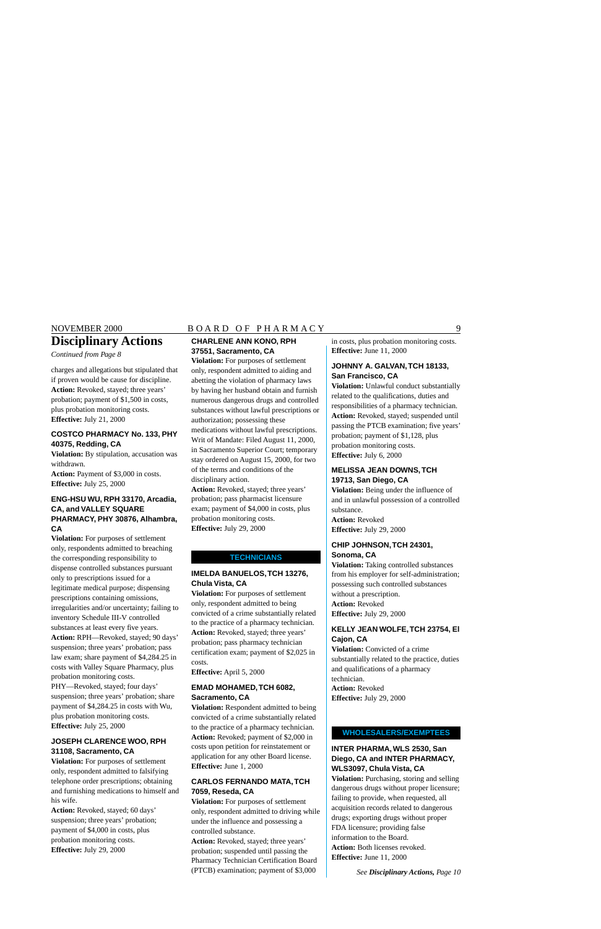# **Disciplinary Actions**

*Continued from Page 8* 

charges and allegations but stipulated that if proven would be cause for discipline. **Action:** Revoked, stayed; three years' probation; payment of \$1,500 in costs, plus probation monitoring costs. **Effective:** July 21, 2000

### **COSTCO PHARMACY No. 133, PHY 40375, Redding, CA**

**Violation:** By stipulation, accusation was withdrawn.

**Action:** Payment of \$3,000 in costs. **Effective:** July 25, 2000

### **ENG-HSU WU, RPH 33170, Arcadia, CA, and VALLEY SQUARE PHARMACY, PHY 30876, Alhambra, CA**

**Violation:** For purposes of settlement only, respondents admitted to breaching the corresponding responsibility to dispense controlled substances pursuant only to prescriptions issued for a legitimate medical purpose; dispensing prescriptions containing omissions, irregularities and/or uncertainty; failing to inventory Schedule III-V controlled substances at least every five years. **Action:** RPH—Revoked, stayed; 90 days' suspension; three years' probation; pass law exam; share payment of [\\$4,284.25](https://4,284.25) in costs with Valley Square Pharmacy, plus probation monitoring costs. PHY—Revoked, stayed; four days' suspension; three years' probation; share payment of [\\$4,284.25](https://4,284.25) in costs with Wu, plus probation monitoring costs. **Effective:** July 25, 2000

### **JOSEPH CLARENCE WOO, RPH 31108, Sacramento, CA**

**Violation:** For purposes of settlement only, respondent admitted to falsifying telephone order prescriptions; obtaining and furnishing medications to himself and his wife.

**Action:** Revoked, stayed; 60 days' suspension; three years' probation; payment of \$4,000 in costs, plus probation monitoring costs. **Effective:** July 29, 2000

### NOVEMBER 2000 BOARD OF PHARMACY 9

### **CHARLENE ANN KONO, RPH 37551, Sacramento, CA**

**Violation:** For purposes of settlement only, respondent admitted to aiding and abetting the violation of pharmacy laws by having her husband obtain and furnish numerous dangerous drugs and controlled substances without lawful prescriptions or authorization; possessing these

medications without lawful prescriptions. Writ of Mandate: Filed August 11, 2000, in Sacramento Superior Court; temporary stay ordered on August 15, 2000, for two of the terms and conditions of the disciplinary action.

**Action:** Revoked, stayed; three years' probation; pass pharmacist licensure exam; payment of \$4,000 in costs, plus probation monitoring costs. **Effective:** July 29, 2000

### **TECHNICIANS**

### **IMELDA BANUELOS,TCH 13276, Chula Vista, CA**

**Violation:** For purposes of settlement only, respondent admitted to being convicted of a crime substantially related to the practice of a pharmacy technician. **Action:** Revoked, stayed; three years' probation; pass pharmacy technician certification exam; payment of \$2,025 in costs.

**Effective:** April 5, 2000

### **EMAD MOHAMED,TCH 6082, Sacramento, CA**

**Violation:** Respondent admitted to being convicted of a crime substantially related to the practice of a pharmacy technician. **Action:** Revoked; payment of \$2,000 in costs upon petition for reinstatement or application for any other Board license. **Effective:** June 1, 2000

### **CARLOS FERNANDO MATA,TCH 7059, Reseda, CA**

**Violation:** For purposes of settlement only, respondent admitted to driving while under the influence and possessing a controlled substance.

**Action:** Revoked, stayed; three years' probation; suspended until passing the Pharmacy Technician Certification Board (PTCB) examination; payment of \$3,000

in costs, plus probation monitoring costs. **Effective:** June 11, 2000

### **JOHNNY A. GALVAN,TCH 18133, San Francisco, CA**

**Violation:** Unlawful conduct substantially related to the qualifications, duties and responsibilities of a pharmacy technician. **Action:** Revoked, stayed; suspended until passing the PTCB examination; five years' probation; payment of \$1,128, plus probation monitoring costs. **Effective:** July 6, 2000

### **MELISSA JEAN DOWNS,TCH 19713, San Diego, CA**

**Violation:** Being under the influence of and in unlawful possession of a controlled substance.

**Action:** Revoked **Effective:** July 29, 2000

### **CHIP JOHNSON,TCH 24301, Sonoma, CA**

**Violation:** Taking controlled substances from his employer for self-administration; possessing such controlled substances without a prescription. **Action:** Revoked **Effective:** July 29, 2000

### **KELLY JEAN WOLFE,TCH 23754, El Cajon, CA**

**Violation:** Convicted of a crime substantially related to the practice, duties and qualifications of a pharmacy technician. **Action:** Revoked **Effective:** July 29, 2000

### **WHOLESALERS/EXEMPTEES**

### **INTER PHARMA, WLS 2530, San Diego, CA and INTER PHARMACY, WLS3097, Chula Vista, CA**

**Violation:** Purchasing, storing and selling dangerous drugs without proper licensure; failing to provide, when requested, all acquisition records related to dangerous drugs; exporting drugs without proper FDA licensure; providing false information to the Board. **Action:** Both licenses revoked. **Effective:** June 11, 2000

*See Disciplinary Actions, Page 10*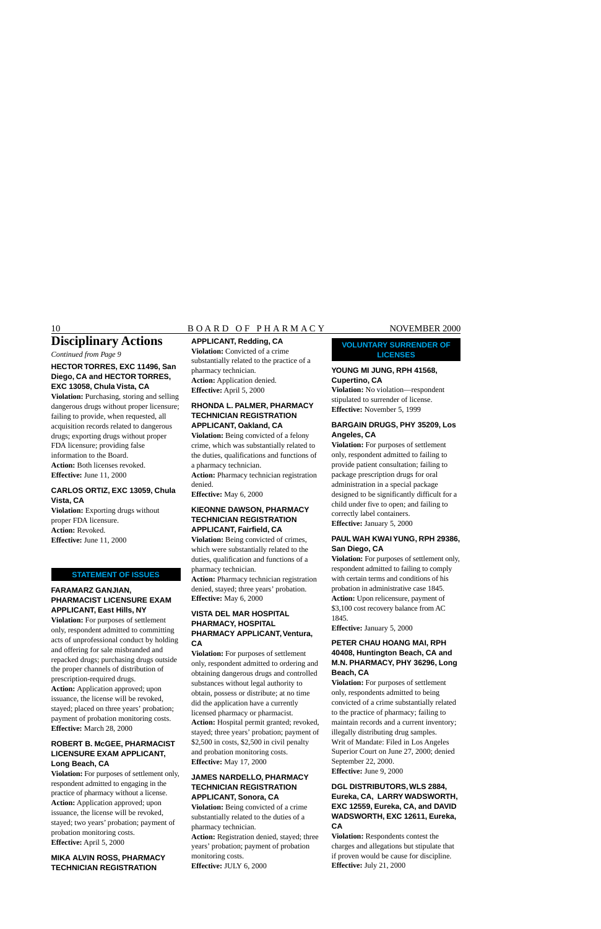### 10 BOARD OF PHARMACY NOVEMBER 2000

# **Disciplinary Actions**

*Continued from Page 9* 

### **HECTOR TORRES, EXC 11496, San Diego, CA and HECTOR TORRES, EXC 13058, Chula Vista, CA**

**Violation:** Purchasing, storing and selling dangerous drugs without proper licensure; failing to provide, when requested, all acquisition records related to dangerous drugs; exporting drugs without proper FDA licensure; providing false information to the Board. **Action:** Both licenses revoked. **Effective:** June 11, 2000

### **CARLOS ORTIZ, EXC 13059, Chula Vista, CA**

**Violation:** Exporting drugs without proper FDA licensure. **Action:** Revoked. **Effective:** June 11, 2000

### **STATEMENT OF ISSUES**

### **FARAMARZ GANJIAN, PHARMACIST LICENSURE EXAM APPLICANT, East Hills, NY**

**Violation:** For purposes of settlement only, respondent admitted to committing acts of unprofessional conduct by holding and offering for sale misbranded and repacked drugs; purchasing drugs outside the proper channels of distribution of prescription-required drugs. **Action:** Application approved; upon issuance, the license will be revoked, stayed; placed on three years' probation; payment of probation monitoring costs. **Effective:** March 28, 2000

### **ROBERT B. McGEE, PHARMACIST LICENSURE EXAM APPLICANT, Long Beach, CA**

**Violation:** For purposes of settlement only, respondent admitted to engaging in the practice of pharmacy without a license. **Action:** Application approved; upon issuance, the license will be revoked, stayed; two years' probation; payment of probation monitoring costs. **Effective:** April 5, 2000

### **MIKA ALVIN ROSS, PHARMACY TECHNICIAN REGISTRATION**

### **APPLICANT, Redding, CA**

**Violation:** Convicted of a crime substantially related to the practice of a pharmacy technician. **Action:** Application denied. **Effective:** April 5, 2000

### **RHONDA L. PALMER, PHARMACY TECHNICIAN REGISTRATION APPLICANT, Oakland, CA**

**Violation:** Being convicted of a felony crime, which was substantially related to the duties, qualifications and functions of a pharmacy technician.

**Action:** Pharmacy technician registration denied.

**Effective:** May 6, 2000

### **KIEONNE DAWSON, PHARMACY TECHNICIAN REGISTRATION APPLICANT, Fairfield, CA**

**Violation:** Being convicted of crimes, which were substantially related to the duties, qualification and functions of a pharmacy technician.

**Action:** Pharmacy technician registration denied, stayed; three years' probation. **Effective:** May 6, 2000

### **VISTA DEL MAR HOSPITAL PHARMACY, HOSPITAL PHARMACY APPLICANT, Ventura, CA**

**Violation:** For purposes of settlement only, respondent admitted to ordering and obtaining dangerous drugs and controlled substances without legal authority to obtain, possess or distribute; at no time did the application have a currently licensed pharmacy or pharmacist. **Action:** Hospital permit granted; revoked, stayed; three years' probation; payment of \$2,500 in costs, \$2,500 in civil penalty and probation monitoring costs. **Effective:** May 17, 2000

### **JAMES NARDELLO, PHARMACY TECHNICIAN REGISTRATION APPLICANT, Sonora, CA**

**Violation:** Being convicted of a crime substantially related to the duties of a pharmacy technician.

**Action:** Registration denied, stayed; three years' probation; payment of probation monitoring costs. **Effective:** JULY 6, 2000

### **VOLUNTARY SURRENDER OF LICENSES**

### **YOUNG MI JUNG, RPH 41568, Cupertino, CA**

**Violation:** No violation—respondent stipulated to surrender of license. **Effective:** November 5, 1999

### **BARGAIN DRUGS, PHY 35209, Los Angeles, CA**

**Violation:** For purposes of settlement only, respondent admitted to failing to provide patient consultation; failing to package prescription drugs for oral administration in a special package designed to be significantly difficult for a child under five to open; and failing to correctly label containers. **Effective:** January 5, 2000

### **PAUL WAH KWAI YUNG, RPH 29386, San Diego, CA**

**Violation:** For purposes of settlement only, respondent admitted to failing to comply with certain terms and conditions of his probation in administrative case 1845. **Action:** Upon relicensure, payment of \$3,100 cost recovery balance from AC 1845.

**Effective:** January 5, 2000

### **PETER CHAU HOANG MAI, RPH 40408, Huntington Beach, CA and M.N. PHARMACY, PHY 36296, Long Beach, CA**

**Violation:** For purposes of settlement only, respondents admitted to being convicted of a crime substantially related to the practice of pharmacy; failing to maintain records and a current inventory; illegally distributing drug samples. Writ of Mandate: Filed in Los Angeles Superior Court on June 27, 2000; denied September 22, 2000.

**Effective:** June 9, 2000

### **DGL DISTRIBUTORS, WLS 2884, Eureka, CA, LARRY WADSWORTH, EXC 12559, Eureka, CA, and DAVID WADSWORTH, EXC 12611, Eureka, CA**

**Violation:** Respondents contest the charges and allegations but stipulate that if proven would be cause for discipline. **Effective:** July 21, 2000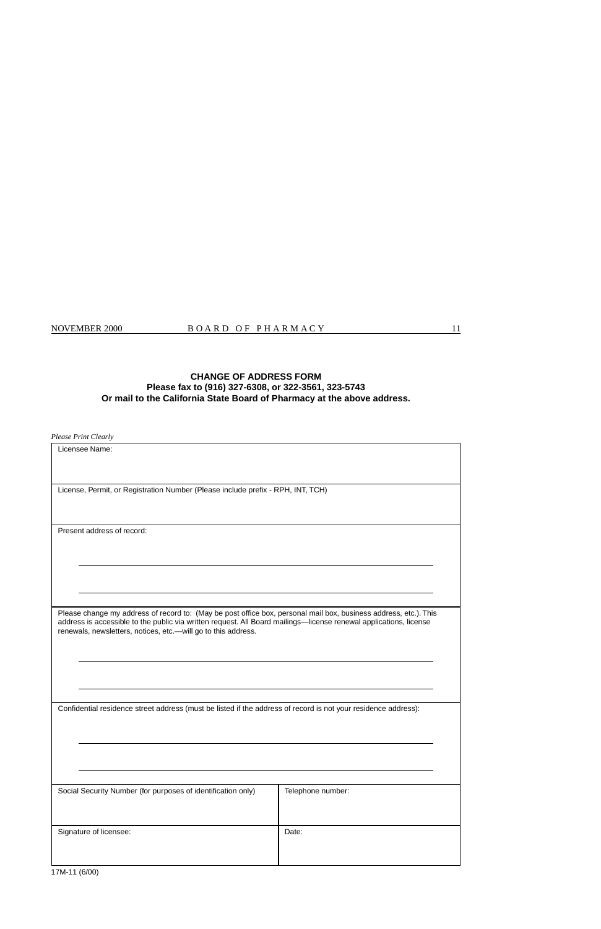### **CHANGE OF ADDRESS FORM Please fax to (916) 327-6308, or 322-3561, 323-5743 Or mail to the California State Board of Pharmacy at the above address.**

*Please Print Clearly* 

| Licensee Name:                                                                                                                                                                                                                                                                                          |                   |
|---------------------------------------------------------------------------------------------------------------------------------------------------------------------------------------------------------------------------------------------------------------------------------------------------------|-------------------|
| License, Permit, or Registration Number (Please include prefix - RPH, INT, TCH)                                                                                                                                                                                                                         |                   |
|                                                                                                                                                                                                                                                                                                         |                   |
| Present address of record:                                                                                                                                                                                                                                                                              |                   |
|                                                                                                                                                                                                                                                                                                         |                   |
|                                                                                                                                                                                                                                                                                                         |                   |
| Please change my address of record to: (May be post office box, personal mail box, business address, etc.). This<br>address is accessible to the public via written request. All Board mailings-license renewal applications, license<br>renewals, newsletters, notices, etc.- will go to this address. |                   |
|                                                                                                                                                                                                                                                                                                         |                   |
| Confidential residence street address (must be listed if the address of record is not your residence address):                                                                                                                                                                                          |                   |
|                                                                                                                                                                                                                                                                                                         |                   |
| Social Security Number (for purposes of identification only)                                                                                                                                                                                                                                            | Telephone number: |
| Signature of licensee:                                                                                                                                                                                                                                                                                  | Date:             |
|                                                                                                                                                                                                                                                                                                         |                   |